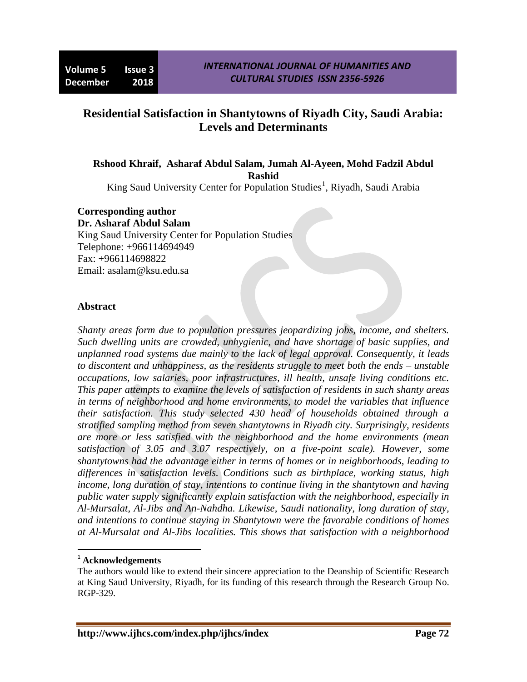# **Residential Satisfaction in Shantytowns of Riyadh City, Saudi Arabia: Levels and Determinants**

**Rshood Khraif, Asharaf Abdul Salam, Jumah Al-Ayeen, Mohd Fadzil Abdul Rashid**

King Saud University Center for Population Studies<sup>1</sup>, Riyadh, Saudi Arabia

#### **Corresponding author**

**Dr. Asharaf Abdul Salam** King Saud University Center for Population Studies Telephone: +966114694949 Fax: +966114698822 Email: asalam@ksu.edu.sa

#### **Abstract**

*Shanty areas form due to population pressures jeopardizing jobs, income, and shelters. Such dwelling units are crowded, unhygienic, and have shortage of basic supplies, and unplanned road systems due mainly to the lack of legal approval. Consequently, it leads to discontent and unhappiness, as the residents struggle to meet both the ends – unstable occupations, low salaries, poor infrastructures, ill health, unsafe living conditions etc. This paper attempts to examine the levels of satisfaction of residents in such shanty areas in terms of neighborhood and home environments, to model the variables that influence their satisfaction. This study selected 430 head of households obtained through a stratified sampling method from seven shantytowns in Riyadh city. Surprisingly, residents are more or less satisfied with the neighborhood and the home environments (mean satisfaction of 3.05 and 3.07 respectively, on a five-point scale). However, some shantytowns had the advantage either in terms of homes or in neighborhoods, leading to differences in satisfaction levels. Conditions such as birthplace, working status, high income, long duration of stay, intentions to continue living in the shantytown and having public water supply significantly explain satisfaction with the neighborhood, especially in Al-Mursalat, Al-Jibs and An-Nahdha. Likewise, Saudi nationality, long duration of stay, and intentions to continue staying in Shantytown were the favorable conditions of homes at Al-Mursalat and Al-Jibs localities. This shows that satisfaction with a neighborhood* 

 $\overline{a}$ 

<sup>1</sup> **Acknowledgements**

The authors would like to extend their sincere appreciation to the Deanship of Scientific Research at King Saud University, Riyadh, for its funding of this research through the Research Group No. RGP-329.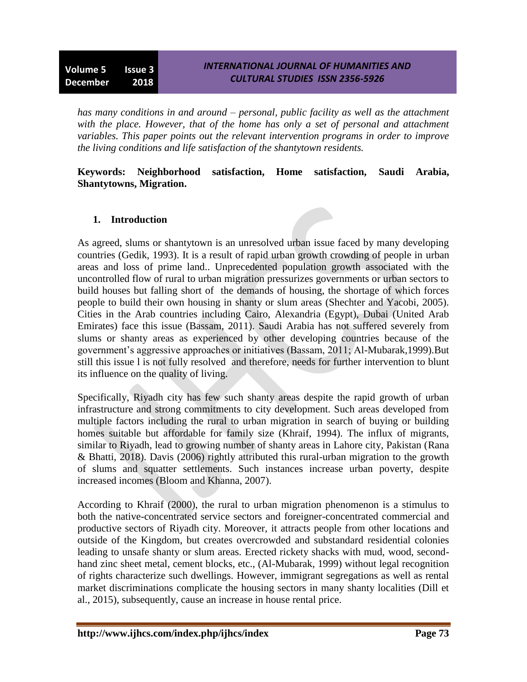*has many conditions in and around – personal, public facility as well as the attachment with the place. However, that of the home has only a set of personal and attachment variables. This paper points out the relevant intervention programs in order to improve the living conditions and life satisfaction of the shantytown residents.*

### **Keywords: Neighborhood satisfaction, Home satisfaction, Saudi Arabia, Shantytowns, Migration.**

### **1. Introduction**

As agreed, slums or shantytown is an unresolved urban issue faced by many developing countries (Gedik, 1993). It is a result of rapid urban growth crowding of people in urban areas and loss of prime land.. Unprecedented population growth associated with the uncontrolled flow of rural to urban migration pressurizes governments or urban sectors to build houses but falling short of the demands of housing, the shortage of which forces people to build their own housing in shanty or slum areas (Shechter and Yacobi, 2005). Cities in the Arab countries including Cairo, Alexandria (Egypt), Dubai (United Arab Emirates) face this issue (Bassam, 2011). Saudi Arabia has not suffered severely from slums or shanty areas as experienced by other developing countries because of the government's aggressive approaches or initiatives (Bassam, 2011; Al-Mubarak,1999).But still this issue l is not fully resolved and therefore, needs for further intervention to blunt its influence on the quality of living.

Specifically, Riyadh city has few such shanty areas despite the rapid growth of urban infrastructure and strong commitments to city development. Such areas developed from multiple factors including the rural to urban migration in search of buying or building homes suitable but affordable for family size (Khraif, 1994). The influx of migrants, similar to Riyadh, lead to growing number of shanty areas in Lahore city, Pakistan (Rana & Bhatti, 2018). Davis (2006) rightly attributed this rural-urban migration to the growth of slums and squatter settlements. Such instances increase urban poverty, despite increased incomes (Bloom and Khanna, 2007).

According to Khraif (2000), the rural to urban migration phenomenon is a stimulus to both the native-concentrated service sectors and foreigner-concentrated commercial and productive sectors of Riyadh city. Moreover, it attracts people from other locations and outside of the Kingdom, but creates overcrowded and substandard residential colonies leading to unsafe shanty or slum areas. Erected rickety shacks with mud, wood, secondhand zinc sheet metal, cement blocks, etc., (Al-Mubarak, 1999) without legal recognition of rights characterize such dwellings. However, immigrant segregations as well as rental market discriminations complicate the housing sectors in many shanty localities (Dill et al., 2015), subsequently, cause an increase in house rental price.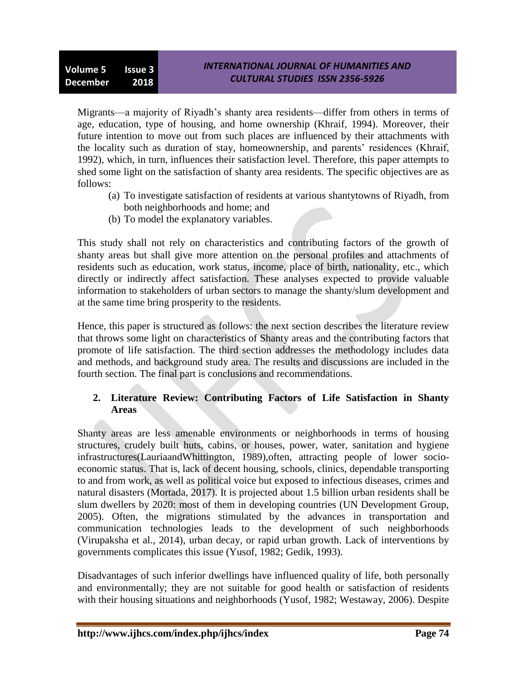Migrants—a majority of Riyadh's shanty area residents—differ from others in terms of age, education, type of housing, and home ownership (Khraif, 1994). Moreover, their future intention to move out from such places are influenced by their attachments with the locality such as duration of stay, homeownership, and parents' residences (Khraif, 1992), which, in turn, influences their satisfaction level. Therefore, this paper attempts to shed some light on the satisfaction of shanty area residents. The specific objectives are as follows:

- (a) To investigate satisfaction of residents at various shantytowns of Riyadh, from both neighborhoods and home; and
- (b) To model the explanatory variables.

This study shall not rely on characteristics and contributing factors of the growth of shanty areas but shall give more attention on the personal profiles and attachments of residents such as education, work status, income, place of birth, nationality, etc., which directly or indirectly affect satisfaction. These analyses expected to provide valuable information to stakeholders of urban sectors to manage the shanty/slum development and at the same time bring prosperity to the residents.

Hence, this paper is structured as follows: the next section describes the literature review that throws some light on characteristics of Shanty areas and the contributing factors that promote of life satisfaction. The third section addresses the methodology includes data and methods, and background study area. The results and discussions are included in the fourth section. The final part is conclusions and recommendations.

### **2. Literature Review: Contributing Factors of Life Satisfaction in Shanty Areas**

Shanty areas are less amenable environments or neighborhoods in terms of housing structures, crudely built huts, cabins, or houses, power, water, sanitation and hygiene infrastructures(LauriaandWhittington*,* 1989),often, attracting people of lower socioeconomic status. That is, lack of decent housing, schools, clinics, dependable transporting to and from work, as well as political voice but exposed to infectious diseases, crimes and natural disasters (Mortada, 2017). It is projected about 1.5 billion urban residents shall be slum dwellers by 2020: most of them in developing countries (UN Development Group, 2005). Often, the migrations stimulated by the advances in transportation and communication technologies leads to the development of such neighborhoods (Virupaksha et al., 2014), urban decay, or rapid urban growth. Lack of interventions by governments complicates this issue (Yusof, 1982; Gedik, 1993).

Disadvantages of such inferior dwellings have influenced quality of life, both personally and environmentally; they are not suitable for good health or satisfaction of residents with their housing situations and neighborhoods (Yusof, 1982; Westaway, 2006). Despite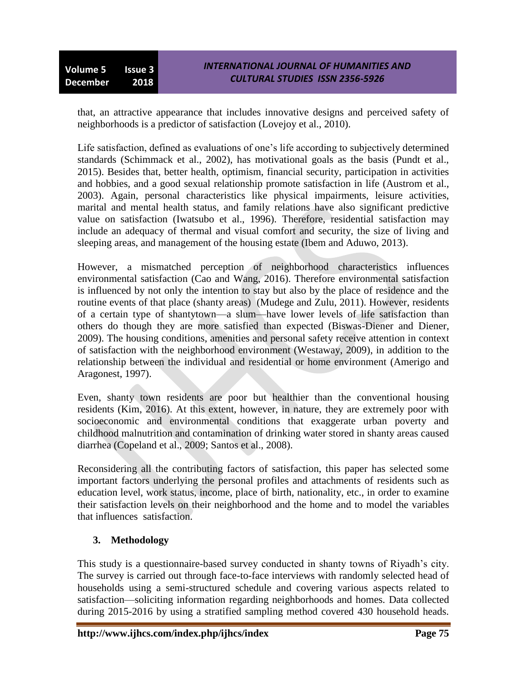that, an attractive appearance that includes innovative designs and perceived safety of neighborhoods is a predictor of satisfaction (Lovejoy et al., 2010).

Life satisfaction, defined as evaluations of one's life according to subjectively determined standards (Schimmack et al., 2002), has motivational goals as the basis (Pundt et al., 2015). Besides that, better health, optimism, financial security, participation in activities and hobbies, and a good sexual relationship promote satisfaction in life (Austrom et al., 2003). Again, personal characteristics like physical impairments, leisure activities, marital and mental health status, and family relations have also significant predictive value on satisfaction (Iwatsubo et al., 1996). Therefore, residential satisfaction may include an adequacy of thermal and visual comfort and security, the size of living and sleeping areas, and management of the housing estate (Ibem and Aduwo, 2013).

However, a mismatched perception of neighborhood characteristics influences environmental satisfaction (Cao and Wang, 2016). Therefore environmental satisfaction is influenced by not only the intention to stay but also by the place of residence and the routine events of that place (shanty areas) (Mudege and Zulu, 2011). However, residents of a certain type of shantytown—a slum—have lower levels of life satisfaction than others do though they are more satisfied than expected (Biswas-Diener and Diener, 2009). The housing conditions, amenities and personal safety receive attention in context of satisfaction with the neighborhood environment (Westaway, 2009), in addition to the relationship between the individual and residential or home environment (Amerigo and Aragonest, 1997).

Even, shanty town residents are poor but healthier than the conventional housing residents (Kim, 2016). At this extent, however, in nature, they are extremely poor with socioeconomic and environmental conditions that exaggerate urban poverty and childhood malnutrition and contamination of drinking water stored in shanty areas caused diarrhea (Copeland et al., 2009; Santos et al., 2008).

Reconsidering all the contributing factors of satisfaction, this paper has selected some important factors underlying the personal profiles and attachments of residents such as education level, work status, income, place of birth, nationality, etc., in order to examine their satisfaction levels on their neighborhood and the home and to model the variables that influences satisfaction.

# **3. Methodology**

This study is a questionnaire-based survey conducted in shanty towns of Riyadh's city. The survey is carried out through face-to-face interviews with randomly selected head of households using a semi-structured schedule and covering various aspects related to satisfaction—soliciting information regarding neighborhoods and homes. Data collected during 2015-2016 by using a stratified sampling method covered 430 household heads.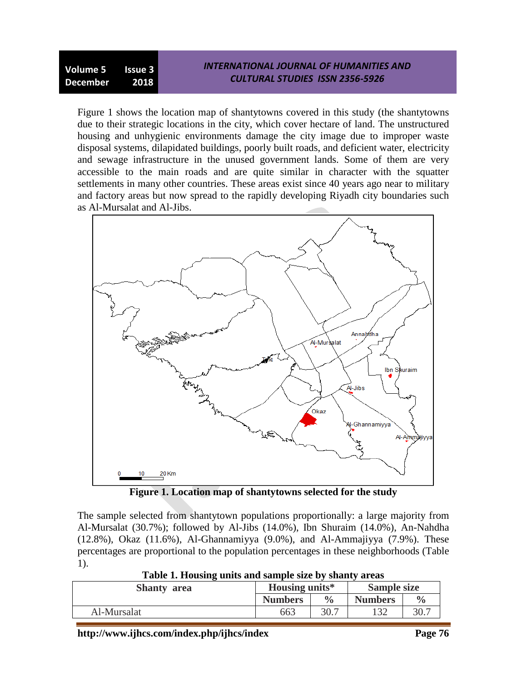Figure 1 shows the location map of shantytowns covered in this study (the shantytowns due to their strategic locations in the city, which cover hectare of land. The unstructured housing and unhygienic environments damage the city image due to improper waste disposal systems, dilapidated buildings, poorly built roads, and deficient water, electricity and sewage infrastructure in the unused government lands. Some of them are very accessible to the main roads and are quite similar in character with the squatter settlements in many other countries. These areas exist since 40 years ago near to military and factory areas but now spread to the rapidly developing Riyadh city boundaries such as Al-Mursalat and Al-Jibs.



**Figure 1. Location map of shantytowns selected for the study**

The sample selected from shantytown populations proportionally: a large majority from Al-Mursalat (30.7%); followed by Al-Jibs (14.0%), Ibn Shuraim (14.0%), An-Nahdha (12.8%), Okaz (11.6%), Al-Ghannamiyya (9.0%), and Al-Ammajiyya (7.9%). These percentages are proportional to the population percentages in these neighborhoods (Table 1).

| Tuble 1: Houbing units and sample size by shaney areas |                    |                    |               |  |  |  |
|--------------------------------------------------------|--------------------|--------------------|---------------|--|--|--|
| <b>Housing units*</b>                                  |                    | <b>Sample size</b> |               |  |  |  |
| <b>Numbers</b>                                         | $\frac{0}{\alpha}$ | <b>Numbers</b>     | $\frac{0}{0}$ |  |  |  |
| 663                                                    | 30.7               |                    | 30.7          |  |  |  |
|                                                        |                    |                    |               |  |  |  |

**Table 1. Housing units and sample size by shanty areas**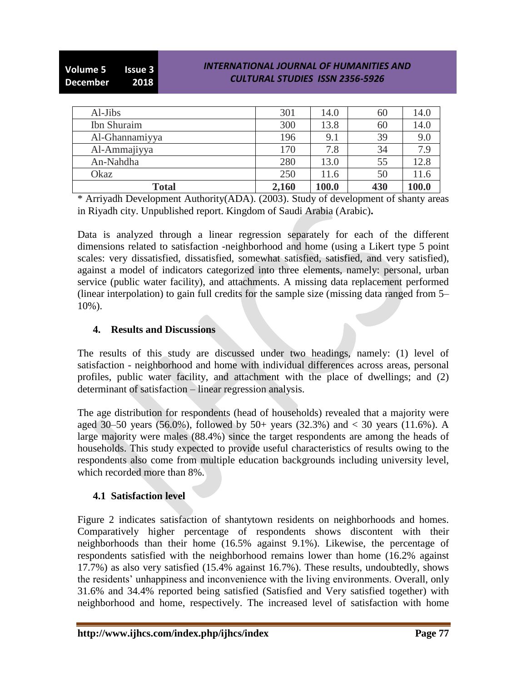| Al-Jibs        | 301   | 14.0  | 60  | 14.0  |
|----------------|-------|-------|-----|-------|
| Ibn Shuraim    | 300   | 13.8  | 60  | 14.0  |
| Al-Ghannamiyya | 196   | 9.1   | 39  | 9.0   |
| Al-Ammajiyya   | 170   | 7.8   | 34  | 7.9   |
| An-Nahdha      | 280   | 13.0  | 55  | 12.8  |
| Okaz           | 250   | 11.6  | 50  | 11.6  |
| <b>Total</b>   | 2,160 | 100.0 | 430 | 100.0 |

\* Arriyadh Development Authority(ADA). (2003). Study of development of shanty areas in Riyadh city. Unpublished report. Kingdom of Saudi Arabia (Arabic)**.**

Data is analyzed through a linear regression separately for each of the different dimensions related to satisfaction -neighborhood and home (using a Likert type 5 point scales: very dissatisfied, dissatisfied, somewhat satisfied, satisfied, and very satisfied), against a model of indicators categorized into three elements, namely: personal, urban service (public water facility), and attachments. A missing data replacement performed (linear interpolation) to gain full credits for the sample size (missing data ranged from 5– 10%).

### **4. Results and Discussions**

The results of this study are discussed under two headings, namely: (1) level of satisfaction - neighborhood and home with individual differences across areas, personal profiles, public water facility, and attachment with the place of dwellings; and (2) determinant of satisfaction – linear regression analysis.

The age distribution for respondents (head of households) revealed that a majority were aged 30–50 years (56.0%), followed by 50+ years (32.3%) and  $<$  30 years (11.6%). A large majority were males (88.4%) since the target respondents are among the heads of households. This study expected to provide useful characteristics of results owing to the respondents also come from multiple education backgrounds including university level, which recorded more than 8%.

# **4.1 Satisfaction level**

Figure 2 indicates satisfaction of shantytown residents on neighborhoods and homes. Comparatively higher percentage of respondents shows discontent with their neighborhoods than their home (16.5% against 9.1%). Likewise, the percentage of respondents satisfied with the neighborhood remains lower than home (16.2% against 17.7%) as also very satisfied (15.4% against 16.7%). These results, undoubtedly, shows the residents' unhappiness and inconvenience with the living environments. Overall, only 31.6% and 34.4% reported being satisfied (Satisfied and Very satisfied together) with neighborhood and home, respectively. The increased level of satisfaction with home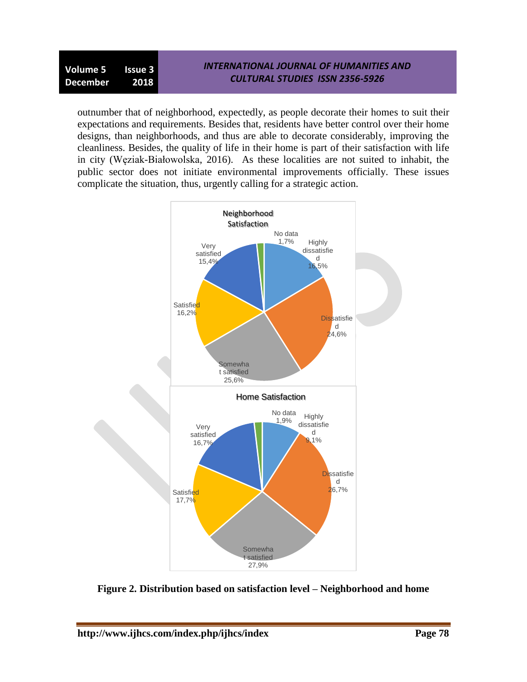outnumber that of neighborhood, expectedly, as people decorate their homes to suit their expectations and requirements. Besides that, residents have better control over their home designs, than neighborhoods, and thus are able to decorate considerably, improving the cleanliness. Besides, the quality of life in their home is part of their satisfaction with life in city (Węziak-Białowolska, 2016). As these localities are not suited to inhabit, the public sector does not initiate environmental improvements officially. These issues complicate the situation, thus, urgently calling for a strategic action.



**Figure 2. Distribution based on satisfaction level – Neighborhood and home**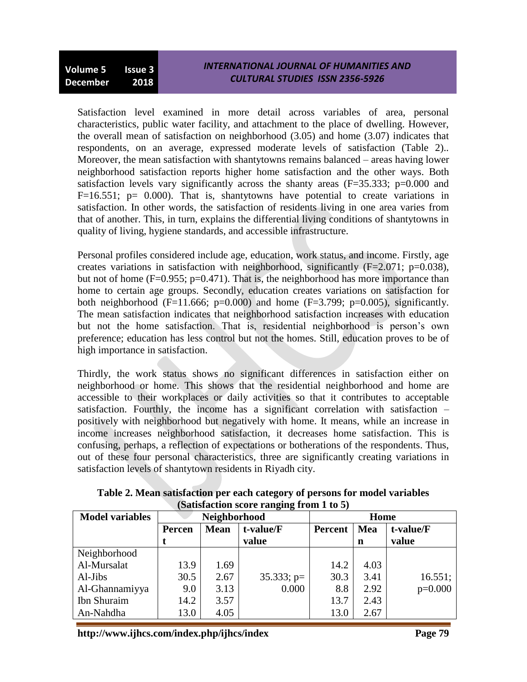Satisfaction level examined in more detail across variables of area, personal characteristics, public water facility, and attachment to the place of dwelling. However, the overall mean of satisfaction on neighborhood (3.05) and home (3.07) indicates that respondents, on an average, expressed moderate levels of satisfaction (Table 2).. Moreover, the mean satisfaction with shantytowns remains balanced – areas having lower neighborhood satisfaction reports higher home satisfaction and the other ways. Both satisfaction levels vary significantly across the shanty areas  $(F=35.333; p=0.000$  and  $F=16.551$ ; p= 0.000). That is, shantytowns have potential to create variations in satisfaction. In other words, the satisfaction of residents living in one area varies from that of another. This, in turn, explains the differential living conditions of shantytowns in quality of living, hygiene standards, and accessible infrastructure.

Personal profiles considered include age, education, work status, and income. Firstly, age creates variations in satisfaction with neighborhood, significantly  $(F=2.071; p=0.038)$ , but not of home ( $F=0.955$ ;  $p=0.471$ ). That is, the neighborhood has more importance than home to certain age groups. Secondly, education creates variations on satisfaction for both neighborhood (F=11.666; p=0.000) and home (F=3.799; p=0.005), significantly. The mean satisfaction indicates that neighborhood satisfaction increases with education but not the home satisfaction. That is, residential neighborhood is person's own preference; education has less control but not the homes. Still, education proves to be of high importance in satisfaction.

Thirdly, the work status shows no significant differences in satisfaction either on neighborhood or home. This shows that the residential neighborhood and home are accessible to their workplaces or daily activities so that it contributes to acceptable satisfaction. Fourthly, the income has a significant correlation with satisfaction – positively with neighborhood but negatively with home. It means, while an increase in income increases neighborhood satisfaction, it decreases home satisfaction. This is confusing, perhaps, a reflection of expectations or botherations of the respondents. Thus, out of these four personal characteristics, three are significantly creating variations in satisfaction levels of shantytown residents in Riyadh city.

| <b>Model variables</b> | Neighborhood          |      |               |         | Home |           |
|------------------------|-----------------------|------|---------------|---------|------|-----------|
|                        | <b>Mean</b><br>Percen |      | t-value/F     | Percent | Mea  | t-value/F |
|                        |                       |      | value         |         | n    | value     |
| Neighborhood           |                       |      |               |         |      |           |
| Al-Mursalat            | 13.9                  | 1.69 |               | 14.2    | 4.03 |           |
| $Al-Jibs$              | 30.5                  | 2.67 | $35.333$ ; p= | 30.3    | 3.41 | 16.551;   |
| Al-Ghannamiyya         | 9.0                   | 3.13 | 0.000         | 8.8     | 2.92 | $p=0.000$ |
| Ibn Shuraim            | 14.2                  | 3.57 |               | 13.7    | 2.43 |           |
| An-Nahdha              | 13.0                  | 4.05 |               | 13.0    | 2.67 |           |

**Table 2. Mean satisfaction per each category of persons for model variables (Satisfaction score ranging from 1 to 5)**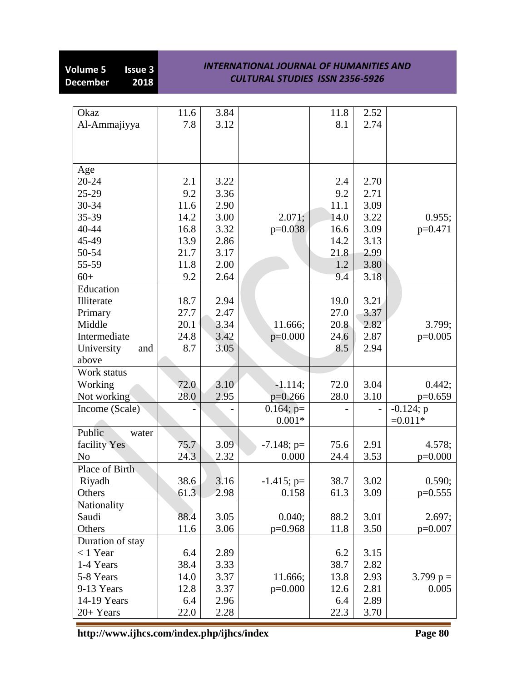# **Volume 5 Issue 3<br>December 2018 December**

#### *INTERNATIONAL JOURNAL OF HUMANITIES AND CULTURAL STUDIES ISSN 2356-5926*

| Okaz              | 11.6 | 3.84 |               | 11.8 | 2.52 |             |
|-------------------|------|------|---------------|------|------|-------------|
| Al-Ammajiyya      | 7.8  | 3.12 |               | 8.1  | 2.74 |             |
|                   |      |      |               |      |      |             |
|                   |      |      |               |      |      |             |
|                   |      |      |               |      |      |             |
| Age               |      |      |               |      |      |             |
| 20-24             | 2.1  | 3.22 |               | 2.4  | 2.70 |             |
| 25-29             | 9.2  | 3.36 |               | 9.2  | 2.71 |             |
| 30-34             | 11.6 | 2.90 |               | 11.1 | 3.09 |             |
| 35-39             | 14.2 | 3.00 | 2.071;        | 14.0 | 3.22 | 0.955;      |
| 40-44             | 16.8 | 3.32 | $p=0.038$     | 16.6 | 3.09 | $p=0.471$   |
| 45-49             | 13.9 | 2.86 |               | 14.2 | 3.13 |             |
| 50-54             | 21.7 | 3.17 |               | 21.8 | 2.99 |             |
| 55-59             | 11.8 | 2.00 |               | 1.2  | 3.80 |             |
| $60+$             | 9.2  | 2.64 |               | 9.4  | 3.18 |             |
| Education         |      |      |               |      |      |             |
| Illiterate        | 18.7 | 2.94 |               | 19.0 | 3.21 |             |
| Primary           | 27.7 | 2.47 |               | 27.0 | 3.37 |             |
| Middle            | 20.1 | 3.34 | 11.666;       | 20.8 | 2.82 | 3.799;      |
| Intermediate      | 24.8 | 3.42 | $p=0.000$     | 24.6 | 2.87 | $p=0.005$   |
| University<br>and | 8.7  | 3.05 |               | 8.5  | 2.94 |             |
| above             |      |      |               |      |      |             |
| Work status       |      |      |               |      |      |             |
| Working           | 72.0 | 3.10 | $-1.114;$     | 72.0 | 3.04 | 0.442;      |
| Not working       | 28.0 | 2.95 | $p=0.266$     | 28.0 | 3.10 | $p=0.659$   |
| Income (Scale)    |      |      | $0.164$ ; p=  |      |      | $-0.124; p$ |
|                   |      |      | $0.001*$      |      |      | $=0.011*$   |
| Public<br>water   |      |      |               |      |      |             |
| facility Yes      | 75.7 | 3.09 | $-7.148$ ; p= | 75.6 | 2.91 | 4.578;      |
| N <sub>o</sub>    | 24.3 | 2.32 | 0.000         | 24.4 | 3.53 | $p=0.000$   |
| Place of Birth    |      |      |               |      |      |             |
| Riyadh            | 38.6 | 3.16 | $-1.415$ ; p= | 38.7 | 3.02 | 0.590;      |
| Others            | 61.3 | 2.98 | 0.158         | 61.3 | 3.09 | $p=0.555$   |
| Nationality       |      |      |               |      |      |             |
| Saudi             | 88.4 | 3.05 | 0.040;        | 88.2 | 3.01 | 2.697;      |
| Others            | 11.6 | 3.06 | $p=0.968$     | 11.8 | 3.50 | $p=0.007$   |
| Duration of stay  |      |      |               |      |      |             |
| $< 1$ Year        | 6.4  | 2.89 |               | 6.2  | 3.15 |             |
| 1-4 Years         | 38.4 | 3.33 |               | 38.7 | 2.82 |             |
| 5-8 Years         | 14.0 | 3.37 | 11.666;       | 13.8 | 2.93 | 3.799 $p =$ |
| 9-13 Years        | 12.8 | 3.37 | $p=0.000$     | 12.6 | 2.81 | 0.005       |
| 14-19 Years       | 6.4  | 2.96 |               | 6.4  | 2.89 |             |
| 20+ Years         | 22.0 | 2.28 |               | 22.3 | 3.70 |             |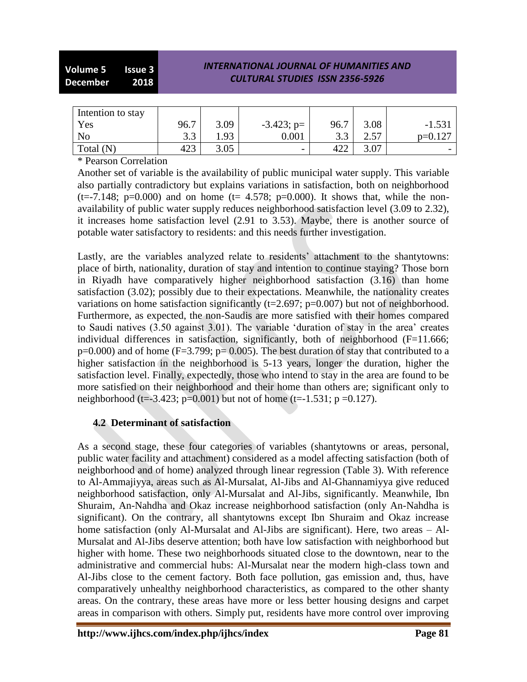| Intention to stay |                |      |                          |      |      |                          |
|-------------------|----------------|------|--------------------------|------|------|--------------------------|
| Yes               | 96.7           | 3.09 | $-3.423$ ; p=            | 96.7 | 3.08 | $-1.531$                 |
| No                | 3 <sub>2</sub> | . 93 | 0.001                    |      |      | $p=0.127$                |
| Total (N)         | 423            | 3.05 | $\overline{\phantom{0}}$ | 422  | 3.07 | $\overline{\phantom{0}}$ |

\* Pearson Correlation

Another set of variable is the availability of public municipal water supply. This variable also partially contradictory but explains variations in satisfaction, both on neighborhood  $(t=-7.148; p=0.000)$  and on home  $(t= 4.578; p=0.000)$ . It shows that, while the nonavailability of public water supply reduces neighborhood satisfaction level (3.09 to 2.32), it increases home satisfaction level (2.91 to 3.53). Maybe, there is another source of potable water satisfactory to residents: and this needs further investigation.

Lastly, are the variables analyzed relate to residents' attachment to the shantytowns: place of birth, nationality, duration of stay and intention to continue staying? Those born in Riyadh have comparatively higher neighborhood satisfaction (3.16) than home satisfaction (3.02); possibly due to their expectations. Meanwhile, the nationality creates variations on home satisfaction significantly (t=2.697; p=0.007) but not of neighborhood. Furthermore, as expected, the non-Saudis are more satisfied with their homes compared to Saudi natives (3.50 against 3.01). The variable ‗duration of stay in the area' creates individual differences in satisfaction, significantly, both of neighborhood  $(F=11.666;$  $p=0.000$ ) and of home (F=3.799;  $p=0.005$ ). The best duration of stay that contributed to a higher satisfaction in the neighborhood is 5-13 years, longer the duration, higher the satisfaction level. Finally, expectedly, those who intend to stay in the area are found to be more satisfied on their neighborhood and their home than others are; significant only to neighborhood (t=-3.423; p=0.001) but not of home (t=-1.531; p =0.127).

# **4.2 Determinant of satisfaction**

As a second stage, these four categories of variables (shantytowns or areas, personal, public water facility and attachment) considered as a model affecting satisfaction (both of neighborhood and of home) analyzed through linear regression (Table 3). With reference to Al-Ammajiyya, areas such as Al-Mursalat, Al-Jibs and Al-Ghannamiyya give reduced neighborhood satisfaction, only Al-Mursalat and Al-Jibs, significantly. Meanwhile, Ibn Shuraim, An-Nahdha and Okaz increase neighborhood satisfaction (only An-Nahdha is significant). On the contrary, all shantytowns except Ibn Shuraim and Okaz increase home satisfaction (only Al-Mursalat and Al-Jibs are significant). Here, two areas – Al-Mursalat and Al-Jibs deserve attention; both have low satisfaction with neighborhood but higher with home. These two neighborhoods situated close to the downtown, near to the administrative and commercial hubs: Al-Mursalat near the modern high-class town and Al-Jibs close to the cement factory. Both face pollution, gas emission and, thus, have comparatively unhealthy neighborhood characteristics, as compared to the other shanty areas. On the contrary, these areas have more or less better housing designs and carpet areas in comparison with others. Simply put, residents have more control over improving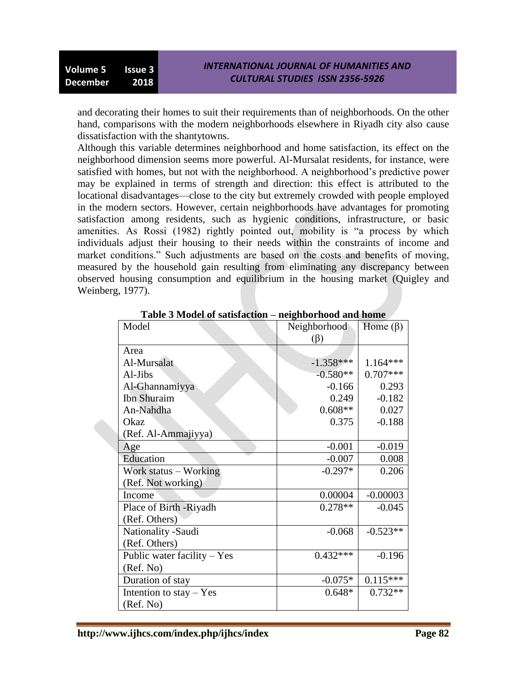and decorating their homes to suit their requirements than of neighborhoods. On the other hand, comparisons with the modern neighborhoods elsewhere in Riyadh city also cause dissatisfaction with the shantytowns.

Although this variable determines neighborhood and home satisfaction, its effect on the neighborhood dimension seems more powerful. Al-Mursalat residents, for instance, were satisfied with homes, but not with the neighborhood. A neighborhood's predictive power may be explained in terms of strength and direction: this effect is attributed to the locational disadvantages—close to the city but extremely crowded with people employed in the modern sectors. However, certain neighborhoods have advantages for promoting satisfaction among residents, such as hygienic conditions, infrastructure, or basic amenities. As Rossi (1982) rightly pointed out, mobility is "a process by which individuals adjust their housing to their needs within the constraints of income and market conditions." Such adjustments are based on the costs and benefits of moving, measured by the household gain resulting from eliminating any discrepancy between observed housing consumption and equilibrium in the housing market (Quigley and Weinberg, 1977).

| Model                         | Neighborhood | Home $(\beta)$ |
|-------------------------------|--------------|----------------|
|                               | $(\beta)$    |                |
| Area                          |              |                |
| Al-Mursalat                   | $-1.358***$  | 1.164***       |
| Al-Jibs                       | $-0.580**$   | $0.707***$     |
| Al-Ghannamiyya                | $-0.166$     | 0.293          |
| Ibn Shuraim                   | 0.249        | $-0.182$       |
| An-Nahdha                     | $0.608**$    | 0.027          |
| Okaz                          | 0.375        | $-0.188$       |
| (Ref. Al-Ammajiyya)           |              |                |
| Age                           | $-0.001$     | $-0.019$       |
| Education                     | $-0.007$     | 0.008          |
| Work status – Working         | $-0.297*$    | 0.206          |
| (Ref. Not working)            |              |                |
| Income                        | 0.00004      | $-0.00003$     |
| Place of Birth -Riyadh        | $0.278**$    | $-0.045$       |
| (Ref. Others)                 |              |                |
| Nationality -Saudi            | $-0.068$     | $-0.523**$     |
| (Ref. Others)                 |              |                |
| Public water facility $-$ Yes | $0.432***$   | $-0.196$       |
| (Ref. No)                     |              |                |
| Duration of stay              | $-0.075*$    | $0.115***$     |
| Intention to stay - Yes       | $0.648*$     | $0.732**$      |
| (Ref. No)                     |              |                |

**Table 3 Model of satisfaction – neighborhood and home**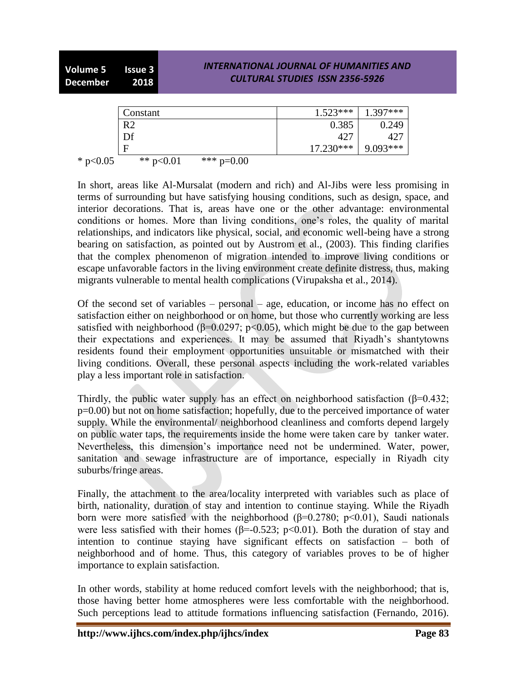|            | Constant       |              | $1.523***$  | $1.397***$ |
|------------|----------------|--------------|-------------|------------|
|            | R <sub>2</sub> |              | 0.385       | 0.249      |
|            | Df             |              | 427         | 427        |
|            | F              |              | $17.230***$ | $9.093***$ |
| * $p<0.05$ | ** $p<0.01$    | *** $p=0.00$ |             |            |

In short, areas like Al-Mursalat (modern and rich) and Al-Jibs were less promising in terms of surrounding but have satisfying housing conditions, such as design, space, and interior decorations. That is, areas have one or the other advantage: environmental conditions or homes. More than living conditions, one's roles, the quality of marital relationships, and indicators like physical, social, and economic well-being have a strong bearing on satisfaction, as pointed out by Austrom et al., (2003). This finding clarifies that the complex phenomenon of migration intended to improve living conditions or escape unfavorable factors in the living environment create definite distress, thus, making migrants vulnerable to mental health complications (Virupaksha et al., 2014).

Of the second set of variables – personal – age, education, or income has no effect on satisfaction either on neighborhood or on home, but those who currently working are less satisfied with neighborhood ( $\beta$ =0.0297; p<0.05), which might be due to the gap between their expectations and experiences. It may be assumed that Riyadh's shantytowns residents found their employment opportunities unsuitable or mismatched with their living conditions. Overall, these personal aspects including the work-related variables play a less important role in satisfaction.

Thirdly, the public water supply has an effect on neighborhood satisfaction ( $\beta$ =0.432; p=0.00) but not on home satisfaction; hopefully, due to the perceived importance of water supply. While the environmental/ neighborhood cleanliness and comforts depend largely on public water taps, the requirements inside the home were taken care by tanker water. Nevertheless, this dimension's importance need not be undermined. Water, power, sanitation and sewage infrastructure are of importance, especially in Riyadh city suburbs/fringe areas.

Finally, the attachment to the area/locality interpreted with variables such as place of birth, nationality, duration of stay and intention to continue staying. While the Riyadh born were more satisfied with the neighborhood ( $\beta$ =0.2780; p<0.01), Saudi nationals were less satisfied with their homes ( $\beta$ =-0.523; p<0.01). Both the duration of stay and intention to continue staying have significant effects on satisfaction – both of neighborhood and of home. Thus, this category of variables proves to be of higher importance to explain satisfaction.

In other words, stability at home reduced comfort levels with the neighborhood; that is, those having better home atmospheres were less comfortable with the neighborhood. Such perceptions lead to attitude formations influencing satisfaction (Fernando, 2016).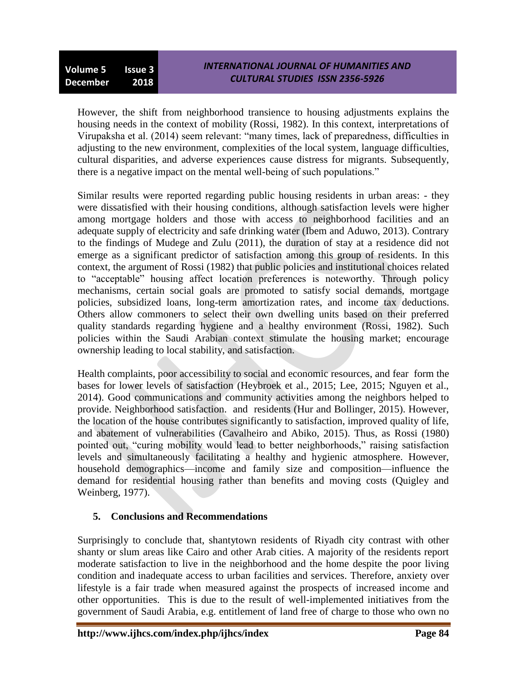However, the shift from neighborhood transience to housing adjustments explains the housing needs in the context of mobility (Rossi, 1982). In this context, interpretations of Virupaksha et al. (2014) seem relevant: "many times, lack of preparedness, difficulties in adjusting to the new environment, complexities of the local system, language difficulties, cultural disparities, and adverse experiences cause distress for migrants. Subsequently, there is a negative impact on the mental well-being of such populations."

Similar results were reported regarding public housing residents in urban areas: - they were dissatisfied with their housing conditions, although satisfaction levels were higher among mortgage holders and those with access to neighborhood facilities and an adequate supply of electricity and safe drinking water (Ibem and Aduwo, 2013). Contrary to the findings of Mudege and Zulu (2011), the duration of stay at a residence did not emerge as a significant predictor of satisfaction among this group of residents. In this context, the argument of Rossi (1982) that public policies and institutional choices related to "acceptable" housing affect location preferences is noteworthy. Through policy mechanisms, certain social goals are promoted to satisfy social demands, mortgage policies, subsidized loans, long-term amortization rates, and income tax deductions. Others allow commoners to select their own dwelling units based on their preferred quality standards regarding hygiene and a healthy environment (Rossi, 1982). Such policies within the Saudi Arabian context stimulate the housing market; encourage ownership leading to local stability, and satisfaction.

Health complaints, poor accessibility to social and economic resources, and fear form the bases for lower levels of satisfaction (Heybroek et al., 2015; Lee, 2015; Nguyen et al., 2014). Good communications and community activities among the neighbors helped to provide. Neighborhood satisfaction. and residents (Hur and Bollinger, 2015). However, the location of the house contributes significantly to satisfaction, improved quality of life, and abatement of vulnerabilities (Cavalheiro and Abiko, 2015). Thus, as Rossi (1980) pointed out, "curing mobility would lead to better neighborhoods," raising satisfaction levels and simultaneously facilitating a healthy and hygienic atmosphere. However, household demographics—income and family size and composition—influence the demand for residential housing rather than benefits and moving costs (Quigley and Weinberg, 1977).

# **5. Conclusions and Recommendations**

Surprisingly to conclude that, shantytown residents of Riyadh city contrast with other shanty or slum areas like Cairo and other Arab cities. A majority of the residents report moderate satisfaction to live in the neighborhood and the home despite the poor living condition and inadequate access to urban facilities and services. Therefore, anxiety over lifestyle is a fair trade when measured against the prospects of increased income and other opportunities. This is due to the result of well-implemented initiatives from the government of Saudi Arabia, e.g. entitlement of land free of charge to those who own no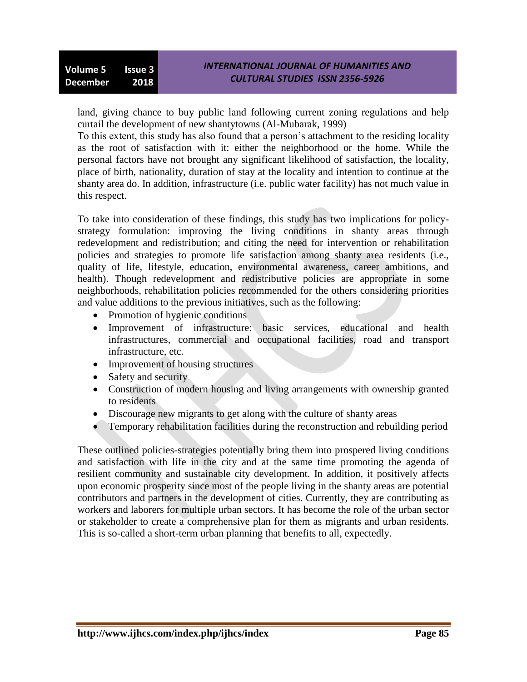land, giving chance to buy public land following current zoning regulations and help curtail the development of new shantytowns (Al-Mubarak, 1999)

To this extent, this study has also found that a person's attachment to the residing locality as the root of satisfaction with it: either the neighborhood or the home. While the personal factors have not brought any significant likelihood of satisfaction, the locality, place of birth, nationality, duration of stay at the locality and intention to continue at the shanty area do. In addition, infrastructure (i.e. public water facility) has not much value in this respect.

To take into consideration of these findings, this study has two implications for policystrategy formulation: improving the living conditions in shanty areas through redevelopment and redistribution; and citing the need for intervention or rehabilitation policies and strategies to promote life satisfaction among shanty area residents (i.e., quality of life, lifestyle, education, environmental awareness, career ambitions, and health). Though redevelopment and redistributive policies are appropriate in some neighborhoods, rehabilitation policies recommended for the others considering priorities and value additions to the previous initiatives, such as the following:

- Promotion of hygienic conditions
- Improvement of infrastructure: basic services, educational and health infrastructures, commercial and occupational facilities, road and transport infrastructure, etc.
- Improvement of housing structures
- Safety and security
- Construction of modern housing and living arrangements with ownership granted to residents
- Discourage new migrants to get along with the culture of shanty areas
- Temporary rehabilitation facilities during the reconstruction and rebuilding period

These outlined policies-strategies potentially bring them into prospered living conditions and satisfaction with life in the city and at the same time promoting the agenda of resilient community and sustainable city development. In addition, it positively affects upon economic prosperity since most of the people living in the shanty areas are potential contributors and partners in the development of cities. Currently, they are contributing as workers and laborers for multiple urban sectors. It has become the role of the urban sector or stakeholder to create a comprehensive plan for them as migrants and urban residents. This is so-called a short-term urban planning that benefits to all, expectedly.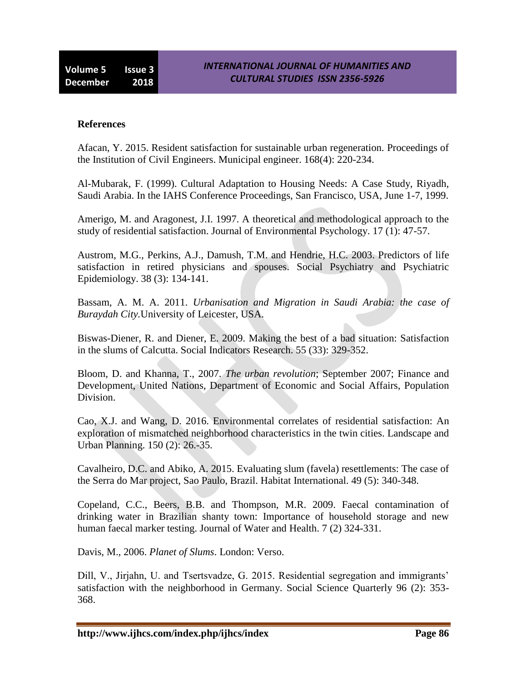#### **References**

Afacan, Y. 2015. Resident satisfaction for sustainable urban regeneration. Proceedings of the Institution of Civil Engineers. Municipal engineer. 168(4): 220-234.

Al-Mubarak, F. (1999). Cultural Adaptation to Housing Needs: A Case Study, Riyadh, Saudi Arabia. In the IAHS Conference Proceedings, San Francisco, USA, June 1-7, 1999.

Amerigo, M. and Aragonest, J.I. 1997. A theoretical and methodological approach to the study of residential satisfaction. Journal of Environmental Psychology. 17 (1): 47-57.

Austrom, M.G., Perkins, A.J., Damush, T.M. and Hendrie, H.C. 2003. Predictors of life satisfaction in retired physicians and spouses. Social Psychiatry and Psychiatric Epidemiology. 38 (3): 134-141.

Bassam, A. M. A. 2011. *Urbanisation and Migration in Saudi Arabia: the case of Buraydah City.*University of Leicester, USA.

Biswas-Diener, R. and Diener, E. 2009. Making the best of a bad situation: Satisfaction in the slums of Calcutta. Social Indicators Research. 55 (33): 329-352.

Bloom, D. and Khanna, T., 2007. *The urban revolution*; September 2007; Finance and Development, United Nations, Department of Economic and Social Affairs, Population Division.

Cao, X.J. and Wang, D. 2016. Environmental correlates of residential satisfaction: An exploration of mismatched neighborhood characteristics in the twin cities. Landscape and Urban Planning. 150 (2): 26.-35.

Cavalheiro, D.C. and Abiko, A. 2015. Evaluating slum (favela) resettlements: The case of the Serra do Mar project, Sao Paulo, Brazil. Habitat International. 49 (5): 340-348.

Copeland, C.C., Beers, B.B. and Thompson, M.R. 2009. Faecal contamination of drinking water in Brazilian shanty town: Importance of household storage and new human faecal marker testing. Journal of Water and Health. 7 (2) 324-331.

Davis, M., 2006. *Planet of Slums*. London: Verso.

Dill, V., Jirjahn, U. and Tsertsvadze, G. 2015. Residential segregation and immigrants' satisfaction with the neighborhood in Germany. Social Science Quarterly 96 (2): 353- 368.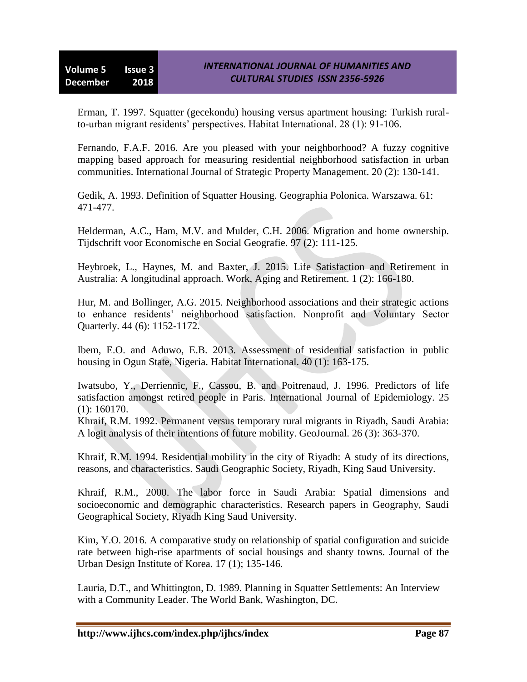Erman, T. 1997. Squatter (gecekondu) housing versus apartment housing: Turkish ruralto-urban migrant residents' perspectives. Habitat International. 28 (1): 91-106.

Fernando, F.A.F. 2016. Are you pleased with your neighborhood? A fuzzy cognitive mapping based approach for measuring residential neighborhood satisfaction in urban communities. International Journal of Strategic Property Management. 20 (2): 130-141.

Gedik, A. 1993. Definition of Squatter Housing. Geographia Polonica. Warszawa. 61: 471-477.

Helderman, A.C., Ham, M.V. and Mulder, C.H. 2006. Migration and home ownership. Tijdschrift voor Economische en Social Geografie. 97 (2): 111-125.

Heybroek, L., Haynes, M. and Baxter, J. 2015. Life Satisfaction and Retirement in Australia: A longitudinal approach. Work, Aging and Retirement. 1 (2): 166-180.

Hur, M. and Bollinger, A.G. 2015. Neighborhood associations and their strategic actions to enhance residents' neighborhood satisfaction. Nonprofit and Voluntary Sector Quarterly. 44 (6): 1152-1172.

Ibem, E.O. and Aduwo, E.B. 2013. Assessment of residential satisfaction in public housing in Ogun State, Nigeria. Habitat International. 40 (1): 163-175.

Iwatsubo, Y., Derriennic, F., Cassou, B. and Poitrenaud, J. 1996. Predictors of life satisfaction amongst retired people in Paris. International Journal of Epidemiology. 25 (1): 160170.

Khraif, R.M. 1992. Permanent versus temporary rural migrants in Riyadh, Saudi Arabia: A logit analysis of their intentions of future mobility. GeoJournal. 26 (3): 363-370.

Khraif, R.M. 1994. Residential mobility in the city of Riyadh: A study of its directions, reasons, and characteristics. Saudi Geographic Society, Riyadh, King Saud University.

Khraif, R.M., 2000. The labor force in Saudi Arabia: Spatial dimensions and socioeconomic and demographic characteristics. Research papers in Geography, Saudi Geographical Society, Riyadh King Saud University.

Kim, Y.O. 2016. A comparative study on relationship of spatial configuration and suicide rate between high-rise apartments of social housings and shanty towns. Journal of the Urban Design Institute of Korea. 17 (1); 135-146.

Lauria, D.T., and Whittington, D. 1989. Planning in Squatter Settlements: An Interview with a Community Leader. The World Bank, Washington, DC.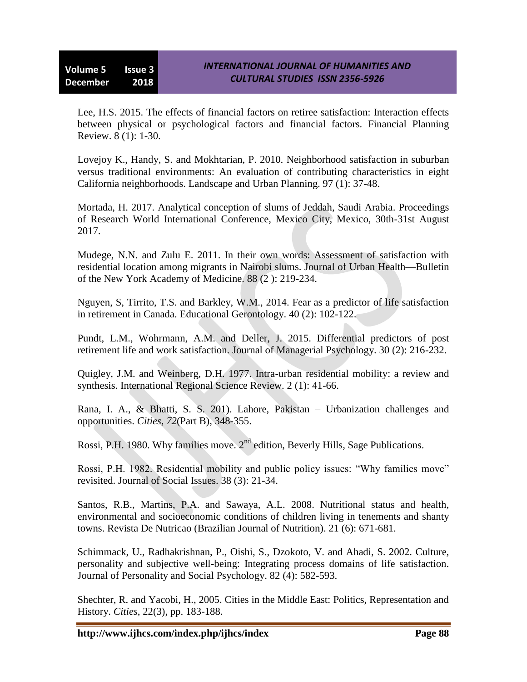Lee, H.S. 2015. The effects of financial factors on retiree satisfaction: Interaction effects between physical or psychological factors and financial factors. Financial Planning Review. 8 (1): 1-30.

Lovejoy K., Handy, S. and Mokhtarian, P. 2010. Neighborhood satisfaction in suburban versus traditional environments: An evaluation of contributing characteristics in eight California neighborhoods. Landscape and Urban Planning. 97 (1): 37-48.

Mortada, H. 2017. Analytical conception of slums of Jeddah, Saudi Arabia. Proceedings of Research World International Conference, Mexico City, Mexico, 30th-31st August 2017.

Mudege, N.N. and Zulu E. 2011. In their own words: Assessment of satisfaction with residential location among migrants in Nairobi slums. Journal of Urban Health—Bulletin of the New York Academy of Medicine. 88 (2 ): 219-234.

Nguyen, S, Tirrito, T.S. and Barkley, W.M., 2014. Fear as a predictor of life satisfaction in retirement in Canada. Educational Gerontology. 40 (2): 102-122.

Pundt, L.M., Wohrmann, A.M. and Deller, J. 2015. Differential predictors of post retirement life and work satisfaction. Journal of Managerial Psychology. 30 (2): 216-232.

Quigley, J.M. and Weinberg, D.H. 1977. Intra-urban residential mobility: a review and synthesis. International Regional Science Review. 2 (1): 41-66.

Rana, I. A., & Bhatti, S. S. 201). Lahore, Pakistan – Urbanization challenges and opportunities. *Cities, 72*(Part B), 348-355.

Rossi, P.H. 1980. Why families move.  $2<sup>nd</sup>$  edition, Beverly Hills, Sage Publications.

Rossi, P.H. 1982. Residential mobility and public policy issues: "Why families move" revisited. Journal of Social Issues. 38 (3): 21-34.

Santos, R.B., Martins, P.A. and Sawaya, A.L. 2008. Nutritional status and health, environmental and socioeconomic conditions of children living in tenements and shanty towns. Revista De Nutricao (Brazilian Journal of Nutrition). 21 (6): 671-681.

Schimmack, U., Radhakrishnan, P., Oishi, S., Dzokoto, V. and Ahadi, S. 2002. Culture, personality and subjective well-being: Integrating process domains of life satisfaction. Journal of Personality and Social Psychology. 82 (4): 582-593.

Shechter, R. and Yacobi, H., 2005. Cities in the Middle East: Politics, Representation and History. *Cities*, 22(3), pp. 183-188.